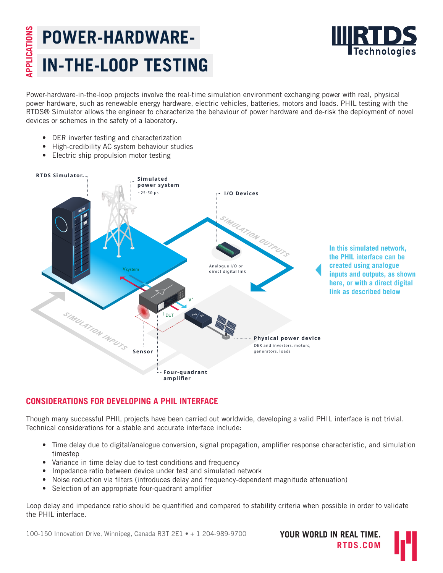# **APPLICATIONS** APPLICATIONS **POWER-HARDWARE-IN-THE-LOOP TESTING**



Power-hardware-in-the-loop projects involve the real-time simulation environment exchanging power with real, physical power hardware, such as renewable energy hardware, electric vehicles, batteries, motors and loads. PHIL testing with the RTDS® Simulator allows the engineer to characterize the behaviour of power hardware and de-risk the deployment of novel devices or schemes in the safety of a laboratory.

- DER inverter testing and characterization
- High-credibility AC system behaviour studies
- $\bullet$  Electric ship propulsion motor testing



### **CONSIDERATIONS FOR DEVELOPING A PHIL INTERFACE**

Though many successful PHIL projects have been carried out worldwide, developing a valid PHIL interface is not trivial. Technical considerations for a stable and accurate interface include:

- Time delay due to digital/analogue conversion, signal propagation, amplifier response characteristic, and simulation timestep
- Variance in time delay due to test conditions and frequency
- Impedance ratio between device under test and simulated network
- Noise reduction via filters (introduces delay and frequency-dependent magnitude attenuation)
- Selection of an appropriate four-quadrant amplifier

Loop delay and impedance ratio should be quantified and compared to stability criteria when possible in order to validate the PHIL interface.

100-150 Innovation Drive, Winnipeg, Canada R3T 2E1 • + 1 204-989-9700 **YOUR WORLD IN REAL TIME.**

**RTDS.COM**